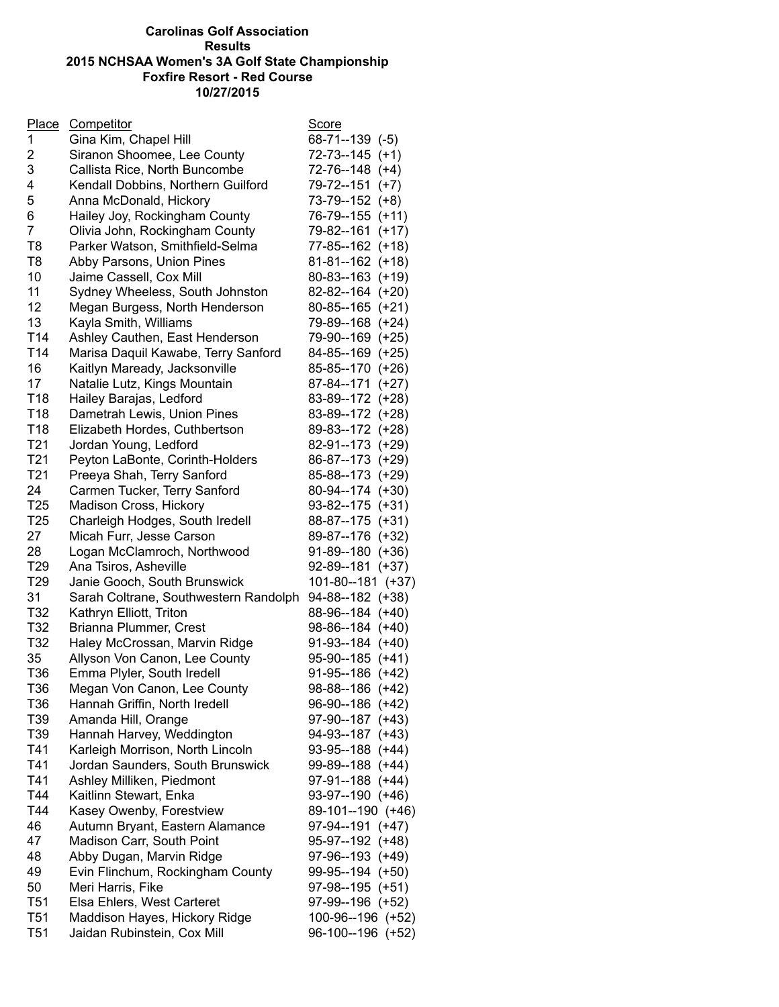## **Carolinas Golf Association Results 2015 NCHSAA Women's 3A Golf State Championship Foxfire Resort - Red Course 10/27/2015**

| <b>Place</b>    | Competitor                            | <u>Score</u>       |
|-----------------|---------------------------------------|--------------------|
| $\mathbf 1$     | Gina Kim, Chapel Hill                 | $68-71-139$ $(-5)$ |
| 2               | Siranon Shoomee, Lee County           | $72-73-145$ (+1)   |
| 3               | Callista Rice, North Buncombe         | 72-76--148 (+4)    |
| 4               | Kendall Dobbins, Northern Guilford    | 79-72--151 (+7)    |
| 5               | Anna McDonald, Hickory                | 73-79--152 (+8)    |
| 6               | Hailey Joy, Rockingham County         | 76-79--155 (+11)   |
| 7               | Olivia John, Rockingham County        | 79-82--161 (+17)   |
| T <sub>8</sub>  | Parker Watson, Smithfield-Selma       | 77-85--162 (+18)   |
| T8              | Abby Parsons, Union Pines             | 81-81--162 (+18)   |
| 10              | Jaime Cassell, Cox Mill               | 80-83--163 (+19)   |
| 11              | Sydney Wheeless, South Johnston       | 82-82--164 (+20)   |
| 12              | Megan Burgess, North Henderson        | 80-85--165 (+21)   |
| 13              | Kayla Smith, Williams                 | 79-89--168 (+24)   |
| T14             |                                       |                    |
|                 | Ashley Cauthen, East Henderson        | 79-90--169 (+25)   |
| T <sub>14</sub> | Marisa Daquil Kawabe, Terry Sanford   | 84-85--169 (+25)   |
| 16              | Kaitlyn Maready, Jacksonville         | 85-85--170 (+26)   |
| 17              | Natalie Lutz, Kings Mountain          | 87-84--171 (+27)   |
| T <sub>18</sub> | Hailey Barajas, Ledford               | 83-89--172 (+28)   |
| T <sub>18</sub> | Dametrah Lewis, Union Pines           | 83-89--172 (+28)   |
| T18             | Elizabeth Hordes, Cuthbertson         | 89-83--172 (+28)   |
| T <sub>21</sub> | Jordan Young, Ledford                 | 82-91--173 (+29)   |
| T <sub>21</sub> | Peyton LaBonte, Corinth-Holders       | 86-87--173 (+29)   |
| T <sub>21</sub> | Preeya Shah, Terry Sanford            | 85-88--173 (+29)   |
| 24              | Carmen Tucker, Terry Sanford          | 80-94--174 (+30)   |
| T25             | Madison Cross, Hickory                | 93-82--175 (+31)   |
| T <sub>25</sub> | Charleigh Hodges, South Iredell       | 88-87--175 (+31)   |
| 27              | Micah Furr, Jesse Carson              | 89-87--176 (+32)   |
| 28              | Logan McClamroch, Northwood           | 91-89--180 (+36)   |
| T <sub>29</sub> | Ana Tsiros, Asheville                 | 92-89--181 (+37)   |
| T <sub>29</sub> | Janie Gooch, South Brunswick          | 101-80--181 (+37)  |
| 31              | Sarah Coltrane, Southwestern Randolph | 94-88--182 (+38)   |
| T32             | Kathryn Elliott, Triton               | 88-96--184 (+40)   |
| T32             | Brianna Plummer, Crest                | 98-86--184 (+40)   |
| T32             | Haley McCrossan, Marvin Ridge         | 91-93--184 (+40)   |
| 35              | Allyson Von Canon, Lee County         | 95-90--185 (+41)   |
| T36             | Emma Plyler, South Iredell            | 91-95--186 (+42)   |
| T36             | Megan Von Canon, Lee County           | 98-88--186 (+42)   |
| T36             | Hannah Griffin, North Iredell         | 96-90--186 (+42)   |
| T39             | Amanda Hill, Orange                   | 97-90--187 (+43)   |
| T39             | Hannah Harvey, Weddington             | 94-93--187 (+43)   |
| T41             |                                       |                    |
|                 | Karleigh Morrison, North Lincoln      | 93-95--188 (+44)   |
| T41             | Jordan Saunders, South Brunswick      | 99-89--188 (+44)   |
| T41             | Ashley Milliken, Piedmont             | 97-91--188 (+44)   |
| T44             | Kaitlinn Stewart, Enka                | 93-97--190 (+46)   |
| T44             | Kasey Owenby, Forestview              | 89-101--190 (+46)  |
| 46              | Autumn Bryant, Eastern Alamance       | 97-94--191 (+47)   |
| 47              | Madison Carr, South Point             | 95-97--192 (+48)   |
| 48              | Abby Dugan, Marvin Ridge              | 97-96--193 (+49)   |
| 49              | Evin Flinchum, Rockingham County      | 99-95--194 (+50)   |
| 50              | Meri Harris, Fike                     | 97-98--195 (+51)   |
| T <sub>51</sub> | Elsa Ehlers, West Carteret            | 97-99--196 (+52)   |
| T <sub>51</sub> | Maddison Hayes, Hickory Ridge         | 100-96--196 (+52)  |
| T <sub>51</sub> | Jaidan Rubinstein, Cox Mill           | 96-100--196 (+52)  |